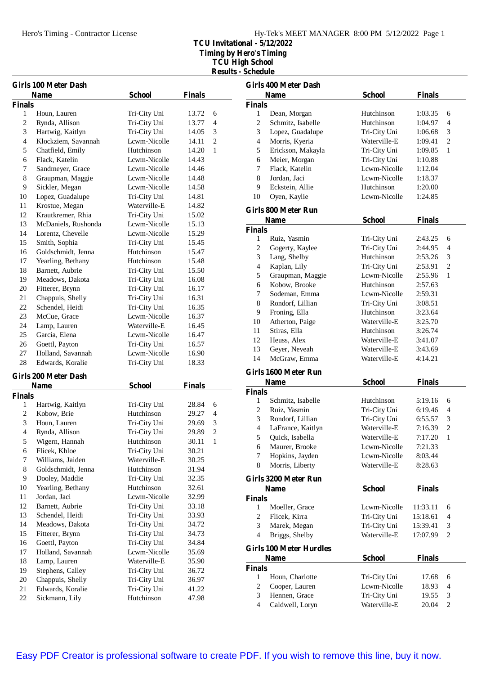Hero's Timing - Contractor License

**TCU Invitational - 5/12/2022**

**Timing by Hero's Timing**

**TCU High School Results - Schedule**

|  | Kesuns - Scheam |  |
|--|-----------------|--|
|  |                 |  |

|                | <b>Girls 100 Meter Dash</b> |               |               |                |
|----------------|-----------------------------|---------------|---------------|----------------|
|                | <b>Name</b>                 | <b>School</b> | <b>Finals</b> |                |
| <b>Finals</b>  |                             |               |               |                |
| 1              | Houn, Lauren                | Tri-City Uni  | 13.72         | 6              |
| $\overline{c}$ | Rynda, Allison              | Tri-City Uni  | 13.77         | 4              |
| 3              | Hartwig, Kaitlyn            | Tri-City Uni  | 14.05         | 3              |
| 4              | Klockziem, Savannah         | Lcwm-Nicolle  | 14.11         | $\overline{2}$ |
| 5              | Chatfield, Emily            | Hutchinson    | 14.20         | 1              |
| 6              | Flack, Katelin              | Lcwm-Nicolle  | 14.43         |                |
| 7              | Sandmeyer, Grace            | Lcwm-Nicolle  | 14.46         |                |
| 8              | Graupman, Maggie            | Lcwm-Nicolle  | 14.48         |                |
| 9              | Sickler, Megan              | Lcwm-Nicolle  | 14.58         |                |
| 10             | Lopez, Guadalupe            | Tri-City Uni  | 14.81         |                |
| 11             | Krostue, Megan              | Waterville-E  | 14.82         |                |
| 12             | Krautkremer, Rhia           | Tri-City Uni  | 15.02         |                |
| 13             | McDaniels, Rushonda         | Lcwm-Nicolle  | 15.13         |                |
| 14             | Lorentz, Chevelle           | Lcwm-Nicolle  | 15.29         |                |
| 15             | Smith, Sophia               | Tri-City Uni  | 15.45         |                |
| 16             | Goldschmidt, Jenna          | Hutchinson    | 15.47         |                |
| 17             | Yearling, Bethany           | Hutchinson    | 15.48         |                |
| 18             | Barnett, Aubrie             | Tri-City Uni  | 15.50         |                |
| 19             | Meadows, Dakota             | Tri-City Uni  | 16.08         |                |
| 20             | Fitterer, Brynn             | Tri-City Uni  | 16.17         |                |
| 21             | Chappuis, Shelly            | Tri-City Uni  | 16.31         |                |
| 22             | Schendel, Heidi             | Tri-City Uni  | 16.35         |                |
| 23             | McCue, Grace                | Lcwm-Nicolle  | 16.37         |                |
| 24             | Lamp, Lauren                | Waterville-E  | 16.45         |                |
| 25             | Garcia, Elena               | Lcwm-Nicolle  | 16.47         |                |
| 26             | Goettl, Payton              | Tri-City Uni  | 16.57         |                |
| 27             | Holland, Savannah           | Lcwm-Nicolle  | 16.90         |                |
| 28             | Edwards, Koralie            | Tri-City Uni  | 18.33         |                |
|                | <b>Girls 200 Meter Dash</b> |               |               |                |
|                | <b>Name</b>                 | <b>School</b> | Finals        |                |
| <b>Finals</b>  |                             |               |               |                |
| 1              | Hartwig, Kaitlyn            | Tri-City Uni  | 28.84         | 6              |
| 2              | Kobow, Brie                 | Hutchinson    | 29.27         | 4              |
| 3              | Houn, Lauren                | Tri-City Uni  | 29.69         | 3              |
| 4              | Rynda, Allison              | Tri-City Uni  | 29.89         | 2              |
| 5              | Wigern, Hannah              | Hutchinson    | 30.11         | $\,1$          |
| 6              | Flicek, Khloe               | Tri-City Uni  | 30.21         |                |
| 7              | Williams, Jaiden            | Waterville-E  | 30.25         |                |
| 8              | Goldschmidt, Jenna          | Hutchinson    | 31.94         |                |
| 9              | Dooley, Maddie              | Tri-City Uni  | 32.35         |                |
| 10             | Yearling, Bethany           | Hutchinson    | 32.61         |                |
| 11             | Jordan, Jaci                | Lcwm-Nicolle  | 32.99         |                |
| 12             | Barnett, Aubrie             | Tri-City Uni  | 33.18         |                |
| 13             | Schendel, Heidi             | Tri-City Uni  | 33.93         |                |
| 14             | Meadows, Dakota             | Tri-City Uni  | 34.72         |                |
| 15             | Fitterer, Brynn             | Tri-City Uni  | 34.73         |                |
| 16             | Goettl, Payton              | Tri-City Uni  | 34.84         |                |
| 17             | Holland, Savannah           | Lcwm-Nicolle  | 35.69         |                |
| 18             | Lamp, Lauren                | Waterville-E  | 35.90         |                |
| 19             | Stephens, Calley            | Tri-City Uni  | 36.72         |                |
| 20             | Chappuis, Shelly            | Tri-City Uni  | 36.97         |                |
| 21             | Edwards, Koralie            | Tri-City Uni  | 41.22         |                |
| $22\,$         | Sickmann, Lily              | Hutchinson    | 47.98         |                |
|                |                             |               |               |                |

|                | <b>Girls 400 Meter Dash</b>    |               |               |                |
|----------------|--------------------------------|---------------|---------------|----------------|
|                | <b>Name</b>                    | <b>School</b> | <b>Finals</b> |                |
| <b>Finals</b>  |                                |               |               |                |
| 1              | Dean, Morgan                   | Hutchinson    | 1:03.35       | 6              |
| $\overline{c}$ | Schmitz, Isabelle              | Hutchinson    | 1:04.97       | $\overline{4}$ |
| 3              | Lopez, Guadalupe               | Tri-City Uni  | 1:06.68       | 3              |
| $\overline{4}$ | Morris, Kyeria                 | Waterville-E  | 1:09.41       | $\overline{c}$ |
| 5              | Erickson, Makayla              | Tri-City Uni  | 1:09.85       | 1              |
| 6              | Meier, Morgan                  | Tri-City Uni  | 1:10.88       |                |
| 7              | Flack. Katelin                 | Lcwm-Nicolle  | 1:12.04       |                |
| 8              | Jordan, Jaci                   | Lcwm-Nicolle  | 1:18.37       |                |
| 9              | Eckstein, Allie                | Hutchinson    | 1:20.00       |                |
| 10             | Oyen, Kaylie                   | Lcwm-Nicolle  | 1:24.85       |                |
|                | Girls 800 Meter Run            |               |               |                |
|                | <b>Name</b>                    | <b>School</b> | <b>Finals</b> |                |
| <b>Finals</b>  |                                |               |               |                |
| 1              | Ruiz, Yasmin                   | Tri-City Uni  | 2:43.25       | 6              |
| 2              | Gogerty, Kaylee                | Tri-City Uni  | 2:44.95       | 4              |
| 3              | Lang, Shelby                   | Hutchinson    | 2:53.26       | 3              |
| $\overline{4}$ | Kaplan, Lily                   | Tri-City Uni  | 2:53.91       | $\overline{c}$ |
| 5              | Graupman, Maggie               | Lcwm-Nicolle  | 2:55.96       | 1              |
| 6              | Kobow, Brooke                  | Hutchinson    | 2:57.63       |                |
| 7              | Sodeman, Emma                  | Lcwm-Nicolle  | 2:59.31       |                |
| 8              | Rondorf, Lillian               | Tri-City Uni  | 3:08.51       |                |
| 9              | Froning, Ella                  | Hutchinson    | 3:23.64       |                |
| 10             | Atherton, Paige                | Waterville-E  | 3:25.70       |                |
| 11             | Stiras, Ella                   | Hutchinson    | 3:26.74       |                |
| 12             | Heuss, Alex                    | Waterville-E  | 3:41.07       |                |
| 13             | Geyer, Neveah                  | Waterville-E  | 3:43.69       |                |
| 14             | McGraw, Emma                   | Waterville-E  | 4:14.21       |                |
|                | Girls 1600 Meter Run           |               |               |                |
|                | <b>Name</b>                    | <b>School</b> | <b>Finals</b> |                |
| <b>Finals</b>  |                                |               |               |                |
| 1              | Schmitz, Isabelle              | Hutchinson    | 5:19.16       | 6              |
| $\overline{c}$ | Ruiz, Yasmin                   | Tri-City Uni  | 6:19.46       | 4              |
| 3              | Rondorf, Lillian               | Tri-City Uni  | 6:55.57       | 3              |
| $\overline{4}$ | LaFrance, Kaitlyn              | Waterville-E  | 7:16.39       | $\overline{c}$ |
| 5              | Quick, Isabella                | Waterville-E  | 7:17.20       | $\mathbf{1}$   |
| 6              | Maurer, Brooke                 | Lcwm-Nicolle  | 7:21.33       |                |
| 7              | Hopkins, Jayden                | Lcwm-Nicolle  | 8:03.44       |                |
| 8              | Morris, Liberty                | Waterville-E  | 8:28.63       |                |
|                | Girls 3200 Meter Run           |               |               |                |
|                | <b>Name</b>                    | <b>School</b> | <b>Finals</b> |                |
| <b>Finals</b>  |                                |               |               |                |
| 1              | Moeller, Grace                 | Lcwm-Nicolle  | 11:33.11      | 6              |
| $\overline{c}$ | Flicek, Kirra                  | Tri-City Uni  | 15:18.61      | $\overline{4}$ |
| 3              | Marek, Megan                   | Tri-City Uni  | 15:39.41      | 3              |
| $\overline{4}$ | Briggs, Shelby                 | Waterville-E  | 17:07.99      | 2              |
|                | <b>Girls 100 Meter Hurdles</b> |               |               |                |
|                | Name                           | <b>School</b> | <b>Finals</b> |                |
| <b>Finals</b>  |                                |               |               |                |
| 1              | Houn, Charlotte                | Tri-City Uni  | 17.68         | 6              |
| $\overline{c}$ | Cooper, Lauren                 | Lcwm-Nicolle  | 18.93         | 4              |
| 3              | Hennen, Grace                  | Tri-City Uni  | 19.55         | 3              |
| 4              | Caldwell, Loryn                | Waterville-E  | 20.04         | $\overline{2}$ |
|                |                                |               |               |                |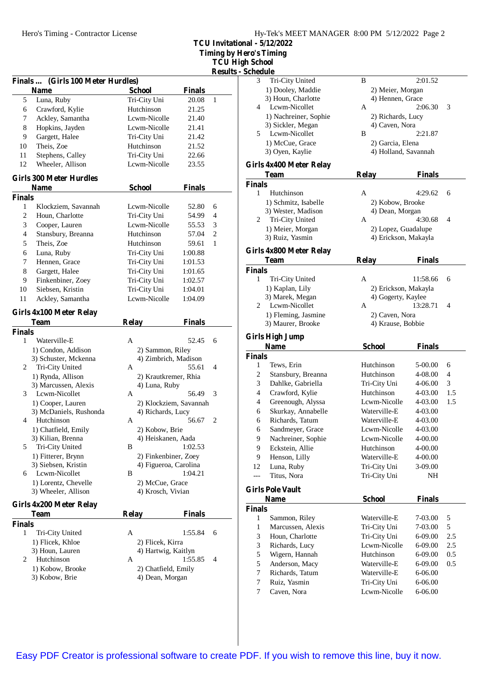**TCU Invitational - 5/12/2022** *<u>Example</u>* **Example** 

**h** School

|                    |                                           |                                        |                        | Timing by H<br><b>TCU Hig</b> |
|--------------------|-------------------------------------------|----------------------------------------|------------------------|-------------------------------|
|                    |                                           |                                        |                        | Results -                     |
|                    | Finals  (Girls 100 Meter Hurdles)         |                                        |                        |                               |
|                    | <b>Name</b>                               | <b>School</b>                          | <b>Finals</b>          |                               |
| 5                  | Luna, Ruby                                | Tri-City Uni                           | 20.08                  | $\mathbf{1}$                  |
| 6                  | Crawford, Kylie                           | Hutchinson                             | 21.25                  |                               |
| 7                  | Ackley, Samantha                          | Lcwm-Nicolle                           | 21.40                  |                               |
| 8                  | Hopkins, Jayden                           | Lcwm-Nicolle                           | 21.41                  |                               |
| 9                  | Gargett, Halee                            | Tri-City Uni                           | 21.42                  |                               |
| 10                 | Theis, Zoe                                | Hutchinson                             | 21.52                  |                               |
| 11                 | Stephens, Calley                          | Tri-City Uni                           | 22.66                  |                               |
| 12                 | Wheeler, Allison                          | Lcwm-Nicolle                           | 23.55                  |                               |
|                    | <b>Girls 300 Meter Hurdles</b>            |                                        |                        |                               |
|                    | <b>Name</b>                               | <b>School</b>                          | <b>Finals</b>          |                               |
| <b>Finals</b><br>1 | Klockziem, Savannah                       | Lcwm-Nicolle                           | 52.80                  | 6                             |
| $\overline{2}$     |                                           |                                        |                        |                               |
|                    | Houn, Charlotte                           | Tri-City Uni                           | 54.99                  | 4                             |
| 3                  | Cooper, Lauren                            | Lcwm-Nicolle                           | 55.53                  | 3                             |
| 4                  | Stansbury, Breanna                        | Hutchinson                             | 57.04                  | $\overline{2}$                |
| 5                  | Theis, Zoe                                | Hutchinson                             | 59.61                  | 1                             |
| 6                  | Luna, Ruby                                | Tri-City Uni                           | 1:00.88                |                               |
| 7                  | Hennen, Grace                             | Tri-City Uni                           | 1:01.53                |                               |
| 8                  | Gargett, Halee                            | Tri-City Uni                           | 1:01.65                |                               |
| 9                  | Finkenbiner, Zoey                         | Tri-City Uni                           | 1:02.57                |                               |
| 10                 | Siebsen, Kristin                          | Tri-City Uni                           | 1:04.01                |                               |
| 11                 | Ackley, Samantha                          | Lcwm-Nicolle                           | 1:04.09                |                               |
|                    | Girls 4x100 Meter Relay                   |                                        |                        |                               |
|                    | <b>Team</b>                               | <b>Relay</b>                           | <b>Finals</b>          |                               |
| <b>Finals</b>      |                                           |                                        |                        |                               |
| 1                  | Waterville-E                              | A                                      | 52.45                  | 6                             |
|                    | 1) Condon, Addison                        | 2) Sammon, Riley                       |                        |                               |
|                    | 3) Schuster, Mckenna<br>Tri-City United   | 4) Zimbrich, Madison                   | 55.61                  | 4                             |
| $\mathbf{2}$       |                                           | A<br>2) Krautkremer, Rhia              |                        |                               |
|                    | 1) Rynda, Allison<br>3) Marcussen, Alexis | 4) Luna, Ruby                          |                        |                               |
| 3                  | Lcwm-Nicollet                             | А                                      | 56.49                  | 3                             |
|                    | 1) Cooper, Lauren                         |                                        | 2) Klockziem, Savannah |                               |
|                    | 3) McDaniels, Rushonda                    | 4) Richards, Lucy                      |                        |                               |
| 4                  | Hutchinson                                | A                                      | 56.67                  | 2                             |
|                    | 1) Chatfield, Emily                       | 2) Kobow, Brie                         |                        |                               |
|                    | 3) Kilian, Brenna                         | 4) Heiskanen, Aada                     |                        |                               |
| 5                  | Tri-City United                           | В                                      | 1:02.53                |                               |
|                    | 1) Fitterer, Brynn                        | 2) Finkenbiner, Zoey                   |                        |                               |
|                    | 3) Siebsen, Kristin                       | 4) Figueroa, Carolina                  |                        |                               |
| 6                  | Lcwm-Nicollet                             | В                                      | 1:04.21                |                               |
|                    | 1) Lorentz, Chevelle                      | 2) McCue, Grace                        |                        |                               |
|                    | 3) Wheeler, Allison                       | 4) Krosch, Vivian                      |                        |                               |
|                    | Girls 4x200 Meter Relay                   |                                        |                        |                               |
|                    | <b>Team</b>                               | <b>Relay</b>                           | <b>Finals</b>          |                               |
| <b>Finals</b>      |                                           |                                        |                        |                               |
| 1                  | Tri-City United                           | A                                      | 1:55.84                | 6                             |
|                    | 1) Flicek, Khloe                          | 2) Flicek, Kirra                       |                        |                               |
|                    |                                           |                                        |                        |                               |
|                    | 3) Houn, Lauren                           | 4) Hartwig, Kaitlyn                    |                        |                               |
| 2                  | Hutchinson                                | A                                      | 1:55.85                | 4                             |
|                    | 1) Kobow, Brooke<br>3) Kobow, Brie        | 2) Chatfield, Emily<br>4) Dean, Morgan |                        |                               |

| <b>Schedule</b>    |                             |                              |                    |     |
|--------------------|-----------------------------|------------------------------|--------------------|-----|
| 3                  | Tri-City United             | B                            | 2:01.52            |     |
|                    | 1) Dooley, Maddie           | 2) Meier, Morgan             |                    |     |
|                    | 3) Houn, Charlotte          | 4) Hennen, Grace             |                    |     |
| 4                  | Lcwm-Nicollet               | А                            | 2:06.30            | 3   |
|                    | 1) Nachreiner, Sophie       | 2) Richards, Lucy            |                    |     |
|                    | 3) Sickler, Megan           | 4) Caven, Nora               |                    |     |
| 5                  | Lcwm-Nicollet               | B                            | 2:21.87            |     |
|                    | 1) McCue, Grace             | 2) Garcia, Elena             |                    |     |
|                    | 3) Oyen, Kaylie             | 4) Holland, Savannah         |                    |     |
|                    | Girls 4x400 Meter Relay     |                              |                    |     |
|                    | <b>Team</b>                 | <b>Relay</b>                 | <b>Finals</b>      |     |
| <b>Finals</b>      |                             |                              |                    |     |
| $\mathbf{1}$       | Hutchinson                  | A                            | 4:29.62            | 6   |
|                    | 1) Schmitz, Isabelle        | 2) Kobow, Brooke             |                    |     |
|                    | 3) Wester, Madison          | 4) Dean, Morgan              |                    |     |
| 2                  | Tri-City United             | A                            | 4:30.68            | 4   |
|                    | 1) Meier, Morgan            | 2) Lopez, Guadalupe          |                    |     |
|                    | 3) Ruiz, Yasmin             | 4) Erickson, Makayla         |                    |     |
|                    | Girls 4x800 Meter Relay     |                              |                    |     |
|                    | Team                        | <b>Relay</b>                 | <b>Finals</b>      |     |
| <b>Finals</b>      |                             |                              |                    |     |
| 1                  | Tri-City United             | A                            | 11:58.66           | 6   |
|                    | 1) Kaplan, Lily             | 2) Erickson, Makayla         |                    |     |
|                    | 3) Marek, Megan             | 4) Gogerty, Kaylee           |                    |     |
| 2                  | Lcwm-Nicollet               | A                            | 13:28.71           | 4   |
|                    | 1) Fleming, Jasmine         | 2) Caven, Nora               |                    |     |
|                    | 3) Maurer, Brooke           | 4) Krause, Bobbie            |                    |     |
|                    |                             |                              |                    |     |
|                    |                             |                              |                    |     |
|                    | <b>Girls High Jump</b>      |                              |                    |     |
|                    | <b>Name</b>                 | <b>School</b>                | <b>Finals</b>      |     |
| <b>Finals</b><br>1 |                             | Hutchinson                   |                    |     |
|                    | Tews, Erin                  |                              | 5-00.00            | 6   |
| 2                  | Stansbury, Breanna          | Hutchinson                   | 4-08.00            | 4   |
| 3                  | Dahlke, Gabriella           | Tri-City Uni<br>Hutchinson   | 4-06.00            | 3   |
| 4                  | Crawford, Kylie             |                              | 4-03.00            | 1.5 |
| 4                  | Greenough, Alyssa           | Lcwm-Nicolle<br>Waterville-E | 4-03.00            | 1.5 |
| 6                  | Skurkay, Annabelle          |                              | 4-03.00            |     |
| 6                  | Richards, Tatum             | Waterville-E<br>Lcwm-Nicolle | 4-03.00<br>4-03.00 |     |
| 6                  | Sandmeyer, Grace            |                              |                    |     |
| 9                  | Nachreiner, Sophie          | Lcwm-Nicolle                 | 4-00.00            |     |
| 9                  | Eckstein, Allie             | Hutchinson                   | 4-00.00            |     |
| 9                  | Henson, Lilly               | Waterville-E                 | 4-00.00            |     |
| 12<br>---          | Luna, Ruby                  | Tri-City Uni                 | 3-09.00            |     |
|                    | Titus, Nora                 | Tri-City Uni                 | NH                 |     |
|                    | <b>Girls Pole Vault</b>     |                              |                    |     |
|                    | <b>Name</b>                 | <b>School</b>                | <b>Finals</b>      |     |
| <b>Finals</b>      |                             |                              |                    |     |
| 1                  | Sammon, Riley               | Waterville-E                 | 7-03.00            | 5   |
| $\mathbf{1}$       | Marcussen, Alexis           | Tri-City Uni                 | 7-03.00            | 5   |
| $\mathfrak{Z}$     | Houn, Charlotte             | Tri-City Uni                 | 6-09.00            | 2.5 |
| 3                  | Richards, Lucy              | Lcwm-Nicolle                 | 6-09.00            | 2.5 |
| 5                  | Wigern, Hannah              | Hutchinson                   | 6-09.00            | 0.5 |
| 5                  | Anderson, Macy              | Waterville-E                 | 6-09.00            | 0.5 |
| 7                  | Richards, Tatum             | Waterville-E                 | 6-06.00            |     |
| 7<br>7             | Ruiz, Yasmin<br>Caven, Nora | Tri-City Uni<br>Lcwm-Nicolle | 6-06.00<br>6-06.00 |     |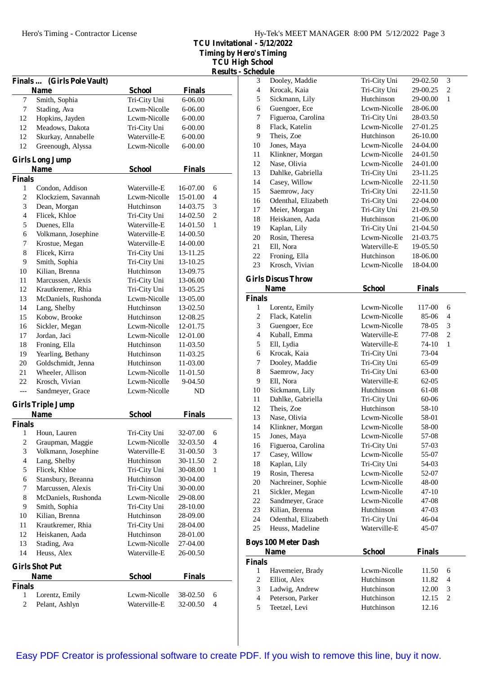**TCU Invitational - 5/12/2022 Timing by Hero's Timing TCU High School**

**Results - Schedule**

|                          |                                   |               |               | <b>Results</b> |
|--------------------------|-----------------------------------|---------------|---------------|----------------|
| Finals                   | (Girls Pole Vault)<br><b>Name</b> | <b>School</b> | <b>Finals</b> |                |
| $\tau$                   | Smith, Sophia                     | Tri-City Uni  | 6-06.00       |                |
| 7                        | Stading, Ava                      | Lcwm-Nicolle  | 6-06.00       |                |
| 12                       | Hopkins, Jayden                   | Lcwm-Nicolle  | 6-00.00       |                |
| 12                       | Meadows, Dakota                   | Tri-City Uni  | 6-00.00       |                |
| 12                       | Skurkay, Annabelle                | Waterville-E  | 6-00.00       |                |
| 12                       | Greenough, Alyssa                 | Lcwm-Nicolle  | 6-00.00       |                |
|                          | <b>Girls Long Jump</b>            |               |               |                |
| <b>Finals</b>            | <b>Name</b>                       | <b>School</b> | <b>Finals</b> |                |
| 1                        | Condon, Addison                   | Waterville-E  | 16-07.00      | 6              |
| 2                        | Klockziem, Savannah               | Lcwm-Nicolle  | 15-01.00      | 4              |
| 3                        | Dean, Morgan                      | Hutchinson    | 14-03.75      | 3              |
| 4                        | Flicek, Khloe                     | Tri-City Uni  | 14-02.50      | $\overline{c}$ |
| 5                        | Duenes, Ella                      | Waterville-E  | 14-01.50      | 1              |
| 6                        | Volkmann, Josephine               | Waterville-E  | $14 - 00.50$  |                |
| 7                        | Krostue, Megan                    | Waterville-E  | 14-00.00      |                |
| 8                        | Flicek, Kirra                     | Tri-City Uni  | 13-11.25      |                |
| 9                        | Smith, Sophia                     | Tri-City Uni  | 13-10.25      |                |
| 10                       | Kilian, Brenna                    | Hutchinson    | 13-09.75      |                |
| 11                       | Marcussen, Alexis                 | Tri-City Uni  | 13-06.00      |                |
| 12                       | Krautkremer, Rhia                 | Tri-City Uni  | 13-05.25      |                |
| 13                       | McDaniels, Rushonda               | Lcwm-Nicolle  | 13-05.00      |                |
| 14                       | Lang, Shelby                      | Hutchinson    | 13-02.50      |                |
| 15                       | Kobow, Brooke                     | Hutchinson    | 12-08.25      |                |
| 16                       | Sickler, Megan                    | Lcwm-Nicolle  | 12-01.75      |                |
| 17                       | Jordan, Jaci                      | Lcwm-Nicolle  | 12-01.00      |                |
| 18                       | Froning, Ella                     | Hutchinson    | 11-03.50      |                |
| 19                       | Yearling, Bethany                 | Hutchinson    | 11-03.25      |                |
| 20                       | Goldschmidt, Jenna                | Hutchinson    | 11-03.00      |                |
| 21                       | Wheeler, Allison                  | Lcwm-Nicolle  | 11-01.50      |                |
| 22                       | Krosch, Vivian                    | Lcwm-Nicolle  | 9-04.50       |                |
| $---$                    | Sandmeyer, Grace                  | Lcwm-Nicolle  | ND            |                |
|                          | <b>Girls Triple Jump</b>          |               |               |                |
|                          | <b>Name</b>                       | <b>School</b> | <b>Finals</b> |                |
| <b>Finals</b>            |                                   |               |               |                |
| $\mathbf{1}$             | Houn, Lauren                      | Tri-City Uni  | 32-07.00      | 6              |
| $\overline{c}$           | Graupman, Maggie                  | Lcwm-Nicolle  | 32-03.50      | 4              |
| 3                        | Volkmann, Josephine               | Waterville-E  | 31-00.50      | 3              |
| $\overline{\mathcal{L}}$ | Lang, Shelby                      | Hutchinson    | 30-11.50      | $\overline{c}$ |
| 5                        | Flicek, Khloe                     | Tri-City Uni  | 30-08.00      | 1              |
| 6                        | Stansbury, Breanna                | Hutchinson    | 30-04.00      |                |
| 7                        | Marcussen, Alexis                 | Tri-City Uni  | 30-00.00      |                |
| 8                        | McDaniels, Rushonda               | Lcwm-Nicolle  | 29-08.00      |                |
| 9                        | Smith, Sophia                     | Tri-City Uni  | 28-10.00      |                |
| 10                       | Kilian, Brenna                    | Hutchinson    | 28-09.00      |                |
| 11                       | Krautkremer, Rhia                 | Tri-City Uni  | 28-04.00      |                |
| 12                       | Heiskanen, Aada                   | Hutchinson    | 28-01.00      |                |
| 13                       | Stading, Ava                      | Lcwm-Nicolle  | 27-04.00      |                |
| 14                       | Heuss, Alex                       | Waterville-E  | 26-00.50      |                |
|                          | <b>Girls Shot Put</b>             | <b>School</b> |               |                |
|                          | <b>Name</b>                       |               | <b>Finals</b> |                |
| <b>Finals</b><br>1       |                                   | Lcwm-Nicolle  | 38-02.50      | 6              |
| 2                        | Lorentz, Emily<br>Pelant, Ashlyn  | Waterville-E  | 32-00.50      | 4              |
|                          |                                   |               |               |                |

| wuxuu                          |                                                                                                                                                                                                                                                                                                                                                                                                                                                                                                                               |                                                                                                                                                                                                                                                                                                                                                                                                           |                                                                                                                                                                                                                                                                             |
|--------------------------------|-------------------------------------------------------------------------------------------------------------------------------------------------------------------------------------------------------------------------------------------------------------------------------------------------------------------------------------------------------------------------------------------------------------------------------------------------------------------------------------------------------------------------------|-----------------------------------------------------------------------------------------------------------------------------------------------------------------------------------------------------------------------------------------------------------------------------------------------------------------------------------------------------------------------------------------------------------|-----------------------------------------------------------------------------------------------------------------------------------------------------------------------------------------------------------------------------------------------------------------------------|
| Dooley, Maddie                 | Tri-City Uni                                                                                                                                                                                                                                                                                                                                                                                                                                                                                                                  | 29-02.50                                                                                                                                                                                                                                                                                                                                                                                                  | 3                                                                                                                                                                                                                                                                           |
| Krocak, Kaia                   |                                                                                                                                                                                                                                                                                                                                                                                                                                                                                                                               | 29-00.25                                                                                                                                                                                                                                                                                                                                                                                                  | 2                                                                                                                                                                                                                                                                           |
|                                | Hutchinson                                                                                                                                                                                                                                                                                                                                                                                                                                                                                                                    | 29-00.00                                                                                                                                                                                                                                                                                                                                                                                                  | 1                                                                                                                                                                                                                                                                           |
|                                |                                                                                                                                                                                                                                                                                                                                                                                                                                                                                                                               |                                                                                                                                                                                                                                                                                                                                                                                                           |                                                                                                                                                                                                                                                                             |
|                                |                                                                                                                                                                                                                                                                                                                                                                                                                                                                                                                               |                                                                                                                                                                                                                                                                                                                                                                                                           |                                                                                                                                                                                                                                                                             |
|                                |                                                                                                                                                                                                                                                                                                                                                                                                                                                                                                                               |                                                                                                                                                                                                                                                                                                                                                                                                           |                                                                                                                                                                                                                                                                             |
|                                |                                                                                                                                                                                                                                                                                                                                                                                                                                                                                                                               |                                                                                                                                                                                                                                                                                                                                                                                                           |                                                                                                                                                                                                                                                                             |
|                                |                                                                                                                                                                                                                                                                                                                                                                                                                                                                                                                               |                                                                                                                                                                                                                                                                                                                                                                                                           |                                                                                                                                                                                                                                                                             |
|                                |                                                                                                                                                                                                                                                                                                                                                                                                                                                                                                                               |                                                                                                                                                                                                                                                                                                                                                                                                           |                                                                                                                                                                                                                                                                             |
|                                |                                                                                                                                                                                                                                                                                                                                                                                                                                                                                                                               |                                                                                                                                                                                                                                                                                                                                                                                                           |                                                                                                                                                                                                                                                                             |
|                                |                                                                                                                                                                                                                                                                                                                                                                                                                                                                                                                               |                                                                                                                                                                                                                                                                                                                                                                                                           |                                                                                                                                                                                                                                                                             |
|                                |                                                                                                                                                                                                                                                                                                                                                                                                                                                                                                                               |                                                                                                                                                                                                                                                                                                                                                                                                           |                                                                                                                                                                                                                                                                             |
|                                |                                                                                                                                                                                                                                                                                                                                                                                                                                                                                                                               |                                                                                                                                                                                                                                                                                                                                                                                                           |                                                                                                                                                                                                                                                                             |
|                                |                                                                                                                                                                                                                                                                                                                                                                                                                                                                                                                               |                                                                                                                                                                                                                                                                                                                                                                                                           |                                                                                                                                                                                                                                                                             |
|                                |                                                                                                                                                                                                                                                                                                                                                                                                                                                                                                                               |                                                                                                                                                                                                                                                                                                                                                                                                           |                                                                                                                                                                                                                                                                             |
|                                |                                                                                                                                                                                                                                                                                                                                                                                                                                                                                                                               |                                                                                                                                                                                                                                                                                                                                                                                                           |                                                                                                                                                                                                                                                                             |
|                                |                                                                                                                                                                                                                                                                                                                                                                                                                                                                                                                               |                                                                                                                                                                                                                                                                                                                                                                                                           |                                                                                                                                                                                                                                                                             |
|                                |                                                                                                                                                                                                                                                                                                                                                                                                                                                                                                                               |                                                                                                                                                                                                                                                                                                                                                                                                           |                                                                                                                                                                                                                                                                             |
|                                |                                                                                                                                                                                                                                                                                                                                                                                                                                                                                                                               |                                                                                                                                                                                                                                                                                                                                                                                                           |                                                                                                                                                                                                                                                                             |
|                                |                                                                                                                                                                                                                                                                                                                                                                                                                                                                                                                               |                                                                                                                                                                                                                                                                                                                                                                                                           |                                                                                                                                                                                                                                                                             |
|                                | Hutchinson                                                                                                                                                                                                                                                                                                                                                                                                                                                                                                                    | 18-06.00                                                                                                                                                                                                                                                                                                                                                                                                  |                                                                                                                                                                                                                                                                             |
| Krosch, Vivian                 |                                                                                                                                                                                                                                                                                                                                                                                                                                                                                                                               | 18-04.00                                                                                                                                                                                                                                                                                                                                                                                                  |                                                                                                                                                                                                                                                                             |
|                                |                                                                                                                                                                                                                                                                                                                                                                                                                                                                                                                               |                                                                                                                                                                                                                                                                                                                                                                                                           |                                                                                                                                                                                                                                                                             |
|                                |                                                                                                                                                                                                                                                                                                                                                                                                                                                                                                                               |                                                                                                                                                                                                                                                                                                                                                                                                           |                                                                                                                                                                                                                                                                             |
|                                |                                                                                                                                                                                                                                                                                                                                                                                                                                                                                                                               |                                                                                                                                                                                                                                                                                                                                                                                                           |                                                                                                                                                                                                                                                                             |
|                                |                                                                                                                                                                                                                                                                                                                                                                                                                                                                                                                               |                                                                                                                                                                                                                                                                                                                                                                                                           |                                                                                                                                                                                                                                                                             |
|                                |                                                                                                                                                                                                                                                                                                                                                                                                                                                                                                                               |                                                                                                                                                                                                                                                                                                                                                                                                           | 6                                                                                                                                                                                                                                                                           |
|                                |                                                                                                                                                                                                                                                                                                                                                                                                                                                                                                                               |                                                                                                                                                                                                                                                                                                                                                                                                           | 4                                                                                                                                                                                                                                                                           |
|                                |                                                                                                                                                                                                                                                                                                                                                                                                                                                                                                                               |                                                                                                                                                                                                                                                                                                                                                                                                           | 3                                                                                                                                                                                                                                                                           |
|                                |                                                                                                                                                                                                                                                                                                                                                                                                                                                                                                                               |                                                                                                                                                                                                                                                                                                                                                                                                           | $\overline{c}$                                                                                                                                                                                                                                                              |
|                                | Waterville-E                                                                                                                                                                                                                                                                                                                                                                                                                                                                                                                  | 74-10                                                                                                                                                                                                                                                                                                                                                                                                     | $\mathbf{1}$                                                                                                                                                                                                                                                                |
|                                |                                                                                                                                                                                                                                                                                                                                                                                                                                                                                                                               | 73-04                                                                                                                                                                                                                                                                                                                                                                                                     |                                                                                                                                                                                                                                                                             |
|                                |                                                                                                                                                                                                                                                                                                                                                                                                                                                                                                                               | 65-09                                                                                                                                                                                                                                                                                                                                                                                                     |                                                                                                                                                                                                                                                                             |
|                                | Tri-City Uni                                                                                                                                                                                                                                                                                                                                                                                                                                                                                                                  | 63-00                                                                                                                                                                                                                                                                                                                                                                                                     |                                                                                                                                                                                                                                                                             |
| Ell, Nora                      | Waterville-E                                                                                                                                                                                                                                                                                                                                                                                                                                                                                                                  | 62-05                                                                                                                                                                                                                                                                                                                                                                                                     |                                                                                                                                                                                                                                                                             |
| Sickmann, Lily                 | Hutchinson                                                                                                                                                                                                                                                                                                                                                                                                                                                                                                                    | 61-08                                                                                                                                                                                                                                                                                                                                                                                                     |                                                                                                                                                                                                                                                                             |
| Dahlke, Gabriella              | Tri-City Uni                                                                                                                                                                                                                                                                                                                                                                                                                                                                                                                  | 60-06                                                                                                                                                                                                                                                                                                                                                                                                     |                                                                                                                                                                                                                                                                             |
| Theis, Zoe                     | Hutchinson                                                                                                                                                                                                                                                                                                                                                                                                                                                                                                                    | 58-10                                                                                                                                                                                                                                                                                                                                                                                                     |                                                                                                                                                                                                                                                                             |
| Nase, Olivia                   |                                                                                                                                                                                                                                                                                                                                                                                                                                                                                                                               |                                                                                                                                                                                                                                                                                                                                                                                                           |                                                                                                                                                                                                                                                                             |
|                                |                                                                                                                                                                                                                                                                                                                                                                                                                                                                                                                               |                                                                                                                                                                                                                                                                                                                                                                                                           |                                                                                                                                                                                                                                                                             |
|                                | Lcwm-Nicolle                                                                                                                                                                                                                                                                                                                                                                                                                                                                                                                  | 58-00                                                                                                                                                                                                                                                                                                                                                                                                     |                                                                                                                                                                                                                                                                             |
| Klinkner, Morgan               | Lcwm-Nicolle                                                                                                                                                                                                                                                                                                                                                                                                                                                                                                                  | 57-08                                                                                                                                                                                                                                                                                                                                                                                                     |                                                                                                                                                                                                                                                                             |
| Jones, Maya                    |                                                                                                                                                                                                                                                                                                                                                                                                                                                                                                                               |                                                                                                                                                                                                                                                                                                                                                                                                           |                                                                                                                                                                                                                                                                             |
| Figueroa, Carolina             | Tri-City Uni<br>Lcwm-Nicolle                                                                                                                                                                                                                                                                                                                                                                                                                                                                                                  | 57-03                                                                                                                                                                                                                                                                                                                                                                                                     |                                                                                                                                                                                                                                                                             |
| Casey, Willow                  |                                                                                                                                                                                                                                                                                                                                                                                                                                                                                                                               | 55-07                                                                                                                                                                                                                                                                                                                                                                                                     |                                                                                                                                                                                                                                                                             |
| Kaplan, Lily                   | Tri-City Uni                                                                                                                                                                                                                                                                                                                                                                                                                                                                                                                  | 54-03                                                                                                                                                                                                                                                                                                                                                                                                     |                                                                                                                                                                                                                                                                             |
| Rosin, Theresa                 | Lcwm-Nicolle                                                                                                                                                                                                                                                                                                                                                                                                                                                                                                                  | 52-07                                                                                                                                                                                                                                                                                                                                                                                                     |                                                                                                                                                                                                                                                                             |
| Nachreiner, Sophie             | Lcwm-Nicolle                                                                                                                                                                                                                                                                                                                                                                                                                                                                                                                  | 48-00                                                                                                                                                                                                                                                                                                                                                                                                     |                                                                                                                                                                                                                                                                             |
| Sickler, Megan                 | Lcwm-Nicolle                                                                                                                                                                                                                                                                                                                                                                                                                                                                                                                  | $47 - 10$                                                                                                                                                                                                                                                                                                                                                                                                 |                                                                                                                                                                                                                                                                             |
| Sandmeyer, Grace               | Lcwm-Nicolle                                                                                                                                                                                                                                                                                                                                                                                                                                                                                                                  | 47-08                                                                                                                                                                                                                                                                                                                                                                                                     |                                                                                                                                                                                                                                                                             |
| Kilian, Brenna                 | Hutchinson                                                                                                                                                                                                                                                                                                                                                                                                                                                                                                                    | 47-03                                                                                                                                                                                                                                                                                                                                                                                                     |                                                                                                                                                                                                                                                                             |
| Odenthal, Elizabeth            | Tri-City Uni                                                                                                                                                                                                                                                                                                                                                                                                                                                                                                                  | 46-04                                                                                                                                                                                                                                                                                                                                                                                                     |                                                                                                                                                                                                                                                                             |
| Heuss, Madeline                | Waterville-E                                                                                                                                                                                                                                                                                                                                                                                                                                                                                                                  | 45-07                                                                                                                                                                                                                                                                                                                                                                                                     |                                                                                                                                                                                                                                                                             |
| <b>Boys 100 Meter Dash</b>     |                                                                                                                                                                                                                                                                                                                                                                                                                                                                                                                               |                                                                                                                                                                                                                                                                                                                                                                                                           |                                                                                                                                                                                                                                                                             |
| Name                           | <b>School</b>                                                                                                                                                                                                                                                                                                                                                                                                                                                                                                                 | <b>Finals</b>                                                                                                                                                                                                                                                                                                                                                                                             |                                                                                                                                                                                                                                                                             |
| <b>Finals</b>                  |                                                                                                                                                                                                                                                                                                                                                                                                                                                                                                                               |                                                                                                                                                                                                                                                                                                                                                                                                           |                                                                                                                                                                                                                                                                             |
|                                | Lcwm-Nicolle                                                                                                                                                                                                                                                                                                                                                                                                                                                                                                                  | 11.50                                                                                                                                                                                                                                                                                                                                                                                                     | 6                                                                                                                                                                                                                                                                           |
| Havemeier, Brady               | Hutchinson                                                                                                                                                                                                                                                                                                                                                                                                                                                                                                                    | 11.82                                                                                                                                                                                                                                                                                                                                                                                                     | 4                                                                                                                                                                                                                                                                           |
| Elliot, Alex<br>Ladwig, Andrew | Hutchinson                                                                                                                                                                                                                                                                                                                                                                                                                                                                                                                    | 12.00                                                                                                                                                                                                                                                                                                                                                                                                     | 3                                                                                                                                                                                                                                                                           |
|                                | Sickmann, Lily<br>Guengoer, Ece<br>Figueroa, Carolina<br>Flack, Katelin<br>Theis, Zoe<br>Jones, Maya<br>Klinkner, Morgan<br>Nase, Olivia<br>Dahlke, Gabriella<br>Casey, Willow<br>Saemrow, Jacy<br>Odenthal, Elizabeth<br>Meier, Morgan<br>Heiskanen, Aada<br>Kaplan, Lily<br>Rosin, Theresa<br>Ell, Nora<br>Froning, Ella<br><b>Girls Discus Throw</b><br><b>Name</b><br><b>Finals</b><br>Lorentz, Emily<br>Flack, Katelin<br>Guengoer, Ece<br>Kuball, Emma<br>Ell, Lydia<br>Krocak, Kaia<br>Dooley, Maddie<br>Saemrow, Jacy | Tri-City Uni<br>Lcwm-Nicolle<br>Tri-City Uni<br>Lcwm-Nicolle<br>Hutchinson<br>Lcwm-Nicolle<br>Lcwm-Nicolle<br>Lcwm-Nicolle<br>Tri-City Uni<br>Lcwm-Nicolle<br>Tri-City Uni<br>Tri-City Uni<br>Tri-City Uni<br>Hutchinson<br>Tri-City Uni<br>Lcwm-Nicolle<br>Waterville-E<br>Lcwm-Nicolle<br><b>School</b><br>Lcwm-Nicolle<br>Lcwm-Nicolle<br>Lcwm-Nicolle<br>Waterville-E<br>Tri-City Uni<br>Tri-City Uni | 28-06.00<br>28-03.50<br>27-01.25<br>26-10.00<br>24-04.00<br>24-01.50<br>24-01.00<br>23-11.25<br>22-11.50<br>22-11.50<br>22-04.00<br>21-09.50<br>21-06.00<br>21-04.50<br>21-03.75<br>19-05.50<br><b>Finals</b><br>117-00<br>85-06<br>78-05<br>77-08<br>Lcwm-Nicolle<br>58-01 |

Peterson, Parker Hutchinson 12.15 2 5 Teetzel, Levi Hutchinson 12.16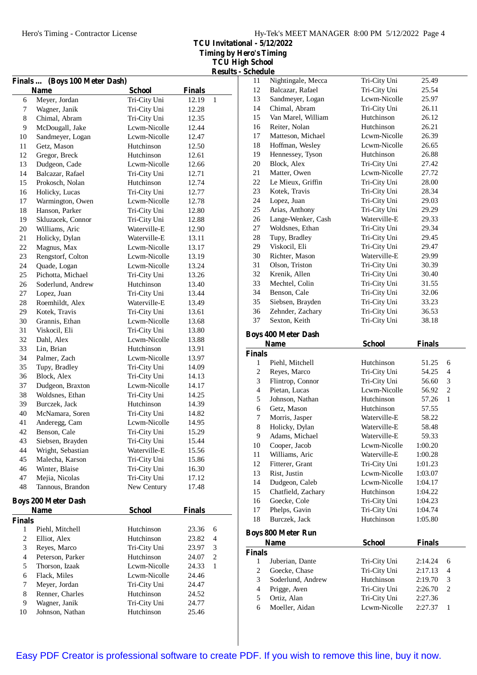**TCU Invitational - 5/12/2022 Timing by Hero's Timing**

| <b>TCU High School</b>    |  |
|---------------------------|--|
| <b>Results - Schedule</b> |  |

|                | Finals  (Boys 100 Meter Dash) |               |               |                |
|----------------|-------------------------------|---------------|---------------|----------------|
|                | <b>Name</b>                   | <b>School</b> | <b>Finals</b> |                |
| 6              | Meyer, Jordan                 | Tri-City Uni  | 12.19         | $\mathbf{1}$   |
| $\tau$         | Wagner, Janik                 | Tri-City Uni  | 12.28         |                |
| 8              | Chimal, Abram                 | Tri-City Uni  | 12.35         |                |
| 9              | McDougall, Jake               | Lcwm-Nicolle  | 12.44         |                |
| 10             | Sandmeyer, Logan              | Lcwm-Nicolle  | 12.47         |                |
| 11             | Getz, Mason                   | Hutchinson    | 12.50         |                |
| 12             | Gregor, Breck                 | Hutchinson    | 12.61         |                |
| 13             | Dudgeon, Cade                 | Lcwm-Nicolle  | 12.66         |                |
| 14             | Balcazar, Rafael              | Tri-City Uni  | 12.71         |                |
| 15             | Prokosch, Nolan               | Hutchinson    | 12.74         |                |
| 16             | Holicky, Lucas                | Tri-City Uni  | 12.77         |                |
| 17             | Warmington, Owen              | Lcwm-Nicolle  | 12.78         |                |
| 18             | Hanson, Parker                | Tri-City Uni  | 12.80         |                |
| 19             | Skluzacek, Connor             | Tri-City Uni  | 12.88         |                |
| 20             | Williams, Aric                | Waterville-E  | 12.90         |                |
| 21             | Holicky, Dylan                | Waterville-E  | 13.11         |                |
| 22             | Magnus, Max                   | Lcwm-Nicolle  | 13.17         |                |
| 23             | Rengstorf, Colton             | Lcwm-Nicolle  | 13.19         |                |
| 24             | Quade, Logan                  | Lcwm-Nicolle  | 13.24         |                |
| 25             | Pichotta, Michael             | Tri-City Uni  | 13.26         |                |
| 26             | Soderlund, Andrew             | Hutchinson    | 13.40         |                |
| 27             | Lopez, Juan                   | Tri-City Uni  | 13.44         |                |
| 28             | Roemhildt, Alex               | Waterville-E  | 13.49         |                |
| 29             | Kotek. Travis                 | Tri-City Uni  | 13.61         |                |
| 30             | Grannis, Ethan                | Lcwm-Nicolle  | 13.68         |                |
| 31             | Viskocil, Eli                 | Tri-City Uni  | 13.80         |                |
| 32             | Dahl, Alex                    | Lcwm-Nicolle  | 13.88         |                |
| 33             | Lin, Brian                    | Hutchinson    | 13.91         |                |
| 34             | Palmer, Zach                  | Lcwm-Nicolle  | 13.97         |                |
| 35             | Tupy, Bradley                 | Tri-City Uni  | 14.09         |                |
| 36             | Block, Alex                   | Tri-City Uni  | 14.13         |                |
| 37             | Dudgeon, Braxton              | Lcwm-Nicolle  | 14.17         |                |
| 38             | Woldsnes, Ethan               | Tri-City Uni  | 14.25         |                |
| 39             | Burczek, Jack                 | Hutchinson    | 14.39         |                |
| 40             | McNamara, Soren               | Tri-City Uni  | 14.82         |                |
| 41             | Anderegg, Cam                 | Lcwm-Nicolle  | 14.95         |                |
| 42             | Benson, Cale                  | Tri-City Uni  | 15.29         |                |
| 43             | Siebsen, Brayden              | Tri-City Uni  | 15.44         |                |
| 44             | Wright, Sebastian             | Waterville-E  | 15.56         |                |
| 45             | Malecha, Karson               | Tri-City Uni  | 15.86         |                |
| 46             | Winter, Blaise                | Tri-City Uni  | 16.30         |                |
| 47             | Mejia, Nicolas                | Tri-City Uni  | 17.12         |                |
| 48             | Tannous, Brandon              | New Century   | 17.48         |                |
|                | <b>Boys 200 Meter Dash</b>    |               |               |                |
|                | <b>Name</b>                   | <b>School</b> | <b>Finals</b> |                |
| <b>Finals</b>  |                               |               |               |                |
| 1              | Piehl, Mitchell               | Hutchinson    | 23.36         | 6              |
| 2              | Elliot, Alex                  | Hutchinson    | 23.82         | 4              |
| 3              | Reyes, Marco                  | Tri-City Uni  | 23.97         | 3              |
| $\overline{4}$ | Peterson, Parker              | Hutchinson    | 24.07         | $\overline{c}$ |
| 5              | Thorson, Izaak                | Lcwm-Nicolle  | 24.33         | $\mathbf{1}$   |
| 6              | Flack, Miles                  | Lcwm-Nicolle  | 24.46         |                |
| 7              | Meyer, Jordan                 | Tri-City Uni  | 24.47         |                |
| 8              | Renner, Charles               | Hutchinson    | 24.52         |                |
| 9              | Wagner, Janik                 | Tri-City Uni  | 24.77         |                |
| 10             | Johnson, Nathan               | Hutchinson    | 25.46         |                |

| әспеаше                  |                            |               |               |                          |
|--------------------------|----------------------------|---------------|---------------|--------------------------|
| 11                       | Nightingale, Mecca         | Tri-City Uni  | 25.49         |                          |
| 12                       | Balcazar, Rafael           | Tri-City Uni  | 25.54         |                          |
| 13                       | Sandmeyer, Logan           | Lcwm-Nicolle  | 25.97         |                          |
| 14                       | Chimal, Abram              | Tri-City Uni  | 26.11         |                          |
| 15                       | Van Marel, William         | Hutchinson    | 26.12         |                          |
| 16                       | Reiter, Nolan              | Hutchinson    | 26.21         |                          |
| 17                       | Matteson, Michael          | Lcwm-Nicolle  | 26.39         |                          |
| 18                       | Hoffman, Wesley            | Lcwm-Nicolle  | 26.65         |                          |
| 19                       | Hennessey, Tyson           | Hutchinson    | 26.88         |                          |
| 20                       | Block, Alex                | Tri-City Uni  | 27.42         |                          |
| 21                       | Matter, Owen               | Lcwm-Nicolle  | 27.72         |                          |
| 22                       | Le Mieux, Griffin          | Tri-City Uni  | 28.00         |                          |
| 23                       | Kotek, Travis              | Tri-City Uni  | 28.34         |                          |
| 24                       | Lopez, Juan                | Tri-City Uni  | 29.03         |                          |
| 25                       | Arias, Anthony             | Tri-City Uni  | 29.29         |                          |
| 26                       | Lange-Wenker, Cash         | Waterville-E  | 29.33         |                          |
| 27                       | Woldsnes, Ethan            | Tri-City Uni  | 29.34         |                          |
|                          |                            |               |               |                          |
| 28                       | Tupy, Bradley              | Tri-City Uni  | 29.45         |                          |
| 29                       | Viskocil, Eli              | Tri-City Uni  | 29.47         |                          |
| 30                       | Richter, Mason             | Waterville-E  | 29.99         |                          |
| 31                       | Olson, Triston             | Tri-City Uni  | 30.39         |                          |
| 32                       | Krenik, Allen              | Tri-City Uni  | 30.40         |                          |
| 33                       | Mechtel, Colin             | Tri-City Uni  | 31.55         |                          |
| 34                       | Benson, Cale               | Tri-City Uni  | 32.06         |                          |
| 35                       | Siebsen, Brayden           | Tri-City Uni  | 33.23         |                          |
| 36                       | Zehnder, Zachary           | Tri-City Uni  | 36.53         |                          |
| 37                       | Sexton, Keith              | Tri-City Uni  | 38.18         |                          |
|                          | <b>Boys 400 Meter Dash</b> |               |               |                          |
|                          | <b>Name</b>                | <b>School</b> | <b>Finals</b> |                          |
|                          |                            |               |               |                          |
|                          |                            |               |               |                          |
| <b>Finals</b>            |                            |               |               |                          |
| 1                        | Piehl, Mitchell            | Hutchinson    | 51.25         | 6                        |
| 2                        | Reyes, Marco               | Tri-City Uni  | 54.25         | 4                        |
| 3                        | Flintrop, Connor           | Tri-City Uni  | 56.60         | 3                        |
| $\overline{4}$           | Pietan, Lucas              | Lcwm-Nicolle  | 56.92         | $\overline{2}$           |
| 5                        | Johnson, Nathan            | Hutchinson    | 57.26         | $\mathbf{1}$             |
| 6                        | Getz, Mason                | Hutchinson    | 57.55         |                          |
| 7                        | Morris, Jasper             | Waterville-E  | 58.22         |                          |
| $\bf 8$                  | Holicky, Dylan             | Waterville-E  | 58.48         |                          |
| 9                        | Adams, Michael             | Waterville-E  | 59.33         |                          |
| 10                       | Cooper, Jacob              | Lcwm-Nicolle  | 1:00.20       |                          |
| 11                       | Williams, Aric             | Waterville-E  | 1:00.28       |                          |
| 12                       | Fitterer, Grant            | Tri-City Uni  | 1:01.23       |                          |
| 13                       | Rist, Justin               | Lcwm-Nicolle  | 1:03.07       |                          |
| 14                       | Dudgeon, Caleb             | Lcwm-Nicolle  | 1:04.17       |                          |
| 15                       | Chatfield, Zachary         | Hutchinson    | 1:04.22       |                          |
| 16                       | Goecke, Cole               | Tri-City Uni  | 1:04.23       |                          |
| 17                       | Phelps, Gavin              | Tri-City Uni  | 1:04.74       |                          |
| 18                       | Burczek, Jack              | Hutchinson    | 1:05.80       |                          |
|                          |                            |               |               |                          |
|                          | <b>Boys 800 Meter Run</b>  |               |               |                          |
|                          | Name                       | <b>School</b> | <b>Finals</b> |                          |
| <b>Finals</b>            |                            |               |               |                          |
| 1                        | Juberian, Dante            | Tri-City Uni  | 2:14.24       | 6                        |
| $\overline{c}$           | Goecke, Chase              | Tri-City Uni  | 2:17.13       | $\overline{\mathcal{L}}$ |
| 3                        | Soderlund, Andrew          | Hutchinson    | 2:19.70       | 3                        |
| $\overline{\mathcal{L}}$ | Prigge, Aven               | Tri-City Uni  | 2:26.70       | $\overline{c}$           |
| 5                        | Ortiz, Alan                | Tri-City Uni  | 2:27.36       |                          |
| 6                        | Moeller, Aidan             | Lcwm-Nicolle  | 2:27.37       | $\mathbf{1}$             |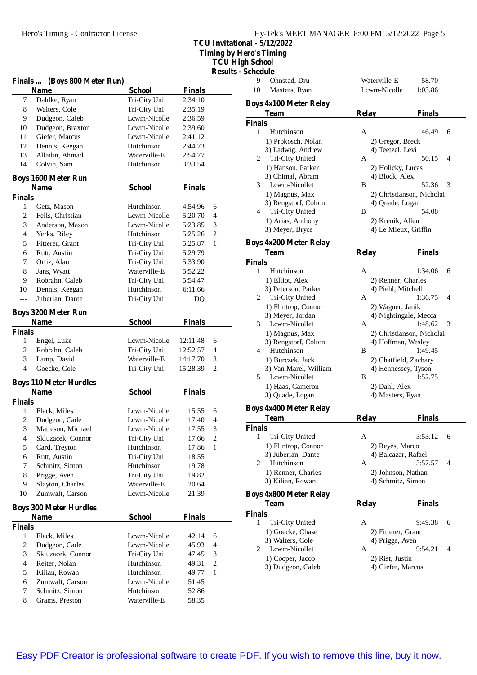Hero's Timing - Contractor License

| Hy-Tek's MEET MANAGER 8:00 PM 5/12/2022 Page 5 |  |  |  |
|------------------------------------------------|--|--|--|
|------------------------------------------------|--|--|--|

**TCU Invitational - 5/12/2022**

**Timing by Hero's Timing**

**TCU High School Results - Schedule**

|                          |                               |               |               | <b>Result</b>  |
|--------------------------|-------------------------------|---------------|---------------|----------------|
|                          | Finals  (Boys 800 Meter Run)  |               |               |                |
|                          | Name                          | <b>School</b> | <b>Finals</b> |                |
| 7                        | Dahlke, Ryan                  | Tri-City Uni  | 2:34.10       |                |
| 8                        | Walters, Cole                 | Tri-City Uni  | 2:35.19       |                |
| 9                        | Dudgeon, Caleb                | Lcwm-Nicolle  | 2:36.59       |                |
| 10                       | Dudgeon, Braxton              | Lcwm-Nicolle  | 2:39.60       |                |
| 11                       | Giefer, Marcus                | Lcwm-Nicolle  | 2:41.12       |                |
| 12                       | Dennis, Keegan                | Hutchinson    | 2:44.73       |                |
| 13                       | Alladin, Ahmad                | Waterville-E  | 2:54.77       |                |
| 14                       | Colvin, Sam                   | Hutchinson    | 3:33.54       |                |
|                          | <b>Boys 1600 Meter Run</b>    |               |               |                |
|                          | <b>Name</b>                   | <b>School</b> | <b>Finals</b> |                |
| <b>Finals</b>            |                               |               |               |                |
| 1                        | Getz, Mason                   | Hutchinson    | 4:54.96       | 6              |
| 2                        | Fells, Christian              | Lcwm-Nicolle  | 5:20.70       | 4              |
| 3                        | Anderson, Mason               | Lcwm-Nicolle  | 5:23.85       | 3              |
| $\overline{4}$           | Yerks, Riley                  | Hutchinson    | 5:25.26       | $\overline{2}$ |
| 5                        | Fitterer, Grant               | Tri-City Uni  | 5:25.87       | 1              |
| 6                        | Rutt, Austin                  | Tri-City Uni  | 5:29.79       |                |
| 7                        | Ortiz, Alan                   | Tri-City Uni  | 5:33.90       |                |
| 8                        | Jans, Wyatt                   | Waterville-E  | 5:52.22       |                |
| 9                        | Robrahn, Caleb                | Tri-City Uni  | 5:54.47       |                |
| 10                       | Dennis, Keegan                | Hutchinson    | 6:11.66       |                |
| $---$                    | Juberian. Dante               | Tri-City Uni  | DQ            |                |
|                          | <b>Boys 3200 Meter Run</b>    |               |               |                |
|                          | <b>Name</b>                   | <b>School</b> | <b>Finals</b> |                |
| <b>Finals</b>            |                               |               |               |                |
| 1                        | Engel, Luke                   | Lcwm-Nicolle  | 12:11.48      | 6              |
| $\overline{c}$           | Robrahn, Caleb                | Tri-City Uni  | 12:52.57      | 4              |
| 3                        | Lamp, David                   | Waterville-E  | 14:17.70      | 3              |
| $\overline{4}$           | Goecke, Cole                  | Tri-City Uni  | 15:28.39      | 2              |
|                          | <b>Boys 110 Meter Hurdles</b> |               |               |                |
|                          | <b>Name</b>                   | <b>School</b> | <b>Finals</b> |                |
| <b>Finals</b>            |                               |               |               |                |
| 1                        | Flack, Miles                  | Lcwm-Nicolle  | 15.55         | 6              |
| 2                        | Dudgeon, Cade                 | Lcwm-Nicolle  | 17.40         | 4              |
| $\overline{3}$           | Matteson, Michael             | Lcwm-Nicolle  | 17.55         | 3              |
| 4                        | Skluzacek, Connor             | Tri-City Uni  | 17.66         | 2              |
| 5                        | Card, Treyton                 | Hutchinson    | 17.86         | $\mathbf{1}$   |
| 6                        | Rutt, Austin                  | Tri-City Uni  | 18.55         |                |
| 7                        | Schmitz, Simon                | Hutchinson    | 19.78         |                |
| 8                        | Prigge, Aven                  | Tri-City Uni  | 19.82         |                |
| 9                        | Slayton, Charles              | Waterville-E  | 20.64         |                |
| 10                       | Zumwalt, Carson               | Lcwm-Nicolle  | 21.39         |                |
|                          | <b>Boys 300 Meter Hurdles</b> |               |               |                |
|                          | <b>Name</b>                   | <b>School</b> | <b>Finals</b> |                |
| <b>Finals</b>            |                               |               |               |                |
| 1                        | Flack, Miles                  | Lcwm-Nicolle  | 42.14         | 6              |
| $\overline{c}$           | Dudgeon, Cade                 | Lcwm-Nicolle  | 45.93         | 4              |
| 3                        | Skluzacek, Connor             | Tri-City Uni  | 47.45         | 3              |
| $\overline{\mathcal{L}}$ | Reiter, Nolan                 | Hutchinson    | 49.31         | $\mathbf{2}$   |
| 5                        | Kilian, Rowan                 | Hutchinson    | 49.77         | $\mathbf{1}$   |
| 6                        | Zumwalt, Carson               | Lcwm-Nicolle  | 51.45         |                |
| 7                        | Schmitz, Simon                | Hutchinson    | 52.86         |                |
| 8                        | Grams, Preston                | Waterville-E  | 58.35         |                |

| 9                  | Ohnstad, Dru                           | Waterville-E                         | 58.70                     |
|--------------------|----------------------------------------|--------------------------------------|---------------------------|
| 10                 | Masters, Ryan                          | Lcwm-Nicolle                         | 1:03.86                   |
|                    | <b>Boys 4x100 Meter Relay</b>          |                                      |                           |
|                    | <b>Team</b>                            | <b>Relay</b>                         | Finals                    |
| <b>Finals</b>      |                                        |                                      |                           |
| 1                  | Hutchinson                             | A                                    | 46.49<br>6                |
|                    | 1) Prokosch, Nolan                     | 2) Gregor, Breck                     |                           |
|                    | 3) Ladwig, Andrew                      | 4) Teetzel, Levi                     |                           |
| 2                  | Tri-City United                        | A                                    | 50.15<br>4                |
|                    | 1) Hanson, Parker                      | 2) Holicky, Lucas                    |                           |
| 3                  | 3) Chimal, Abram<br>Lcwm-Nicollet      | 4) Block, Alex<br>B                  | 52.36<br>3                |
|                    | 1) Magnus, Max                         |                                      | 2) Christianson, Nicholai |
|                    | 3) Rengstorf, Colton                   | 4) Quade, Logan                      |                           |
| 4                  | Tri-City United                        | B                                    | 54.08                     |
|                    | 1) Arias, Anthony                      | 2) Krenik, Allen                     |                           |
|                    | 3) Meyer, Bryce                        |                                      | 4) Le Mieux, Griffin      |
|                    | <b>Boys 4x200 Meter Relay</b>          |                                      |                           |
|                    | <b>Team</b>                            | <b>Relay</b>                         | <b>Finals</b>             |
| <b>Finals</b>      |                                        |                                      |                           |
| 1                  | Hutchinson                             | A                                    | 1:34.06<br>6              |
|                    | 1) Elliot, Alex                        | 2) Renner, Charles                   |                           |
|                    | 3) Peterson, Parker                    | 4) Piehl, Mitchell<br>A              | 1:36.75<br>4              |
| 2                  | Tri-City United<br>1) Flintrop, Connor | 2) Wagner, Janik                     |                           |
|                    | 3) Meyer, Jordan                       |                                      | 4) Nightingale, Mecca     |
| 3                  | Lcwm-Nicollet                          | А                                    | 1:48.62<br>3              |
|                    | 1) Magnus, Max                         |                                      | 2) Christianson, Nicholai |
|                    | 3) Rengstorf, Colton                   | 4) Hoffman, Wesley                   |                           |
| 4                  | Hutchinson                             | B                                    | 1:49.45                   |
|                    | 1) Burczek, Jack                       |                                      | 2) Chatfield, Zachary     |
|                    | 3) Van Marel, William                  |                                      | 4) Hennessey, Tyson       |
| 5                  | Lcwm-Nicollet                          | B                                    | 1:52.75                   |
|                    | 1) Haas, Cameron<br>3) Quade, Logan    | 2) Dahl, Alex<br>4) Masters, Ryan    |                           |
|                    |                                        |                                      |                           |
|                    | <b>Boys 4x400 Meter Relay</b>          |                                      |                           |
|                    | Team                                   | <b>Relay</b>                         | <b>Finals</b>             |
| <b>Finals</b><br>1 | Tri-City United                        | A                                    | 3:53.12<br>6              |
|                    | 1) Flintrop, Connor                    | 2) Reyes, Marco                      |                           |
|                    | 3) Juberian, Dante                     | 4) Balcazar, Rafael                  |                           |
| 2                  | Hutchinson                             | А                                    | 3:57.57<br>4              |
|                    | 1) Renner, Charles                     | 2) Johnson, Nathan                   |                           |
|                    | 3) Kilian, Rowan                       | 4) Schmitz, Simon                    |                           |
|                    | <b>Boys 4x800 Meter Relay</b>          |                                      |                           |
|                    | Team                                   | <b>Relay</b>                         | <b>Finals</b>             |
| <b>Finals</b>      |                                        |                                      |                           |
| 1                  | Tri-City United                        | A                                    | 9:49.38<br>6              |
|                    | 1) Goecke, Chase                       | 2) Fitterer, Grant                   |                           |
|                    | 3) Walters, Cole                       | 4) Prigge, Aven                      |                           |
| 2                  | Lcwm-Nicollet                          | А                                    | 9:54.21<br>4              |
|                    | 1) Cooper, Jacob<br>3) Dudgeon, Caleb  | 2) Rist, Justin<br>4) Giefer, Marcus |                           |
|                    |                                        |                                      |                           |
|                    |                                        |                                      |                           |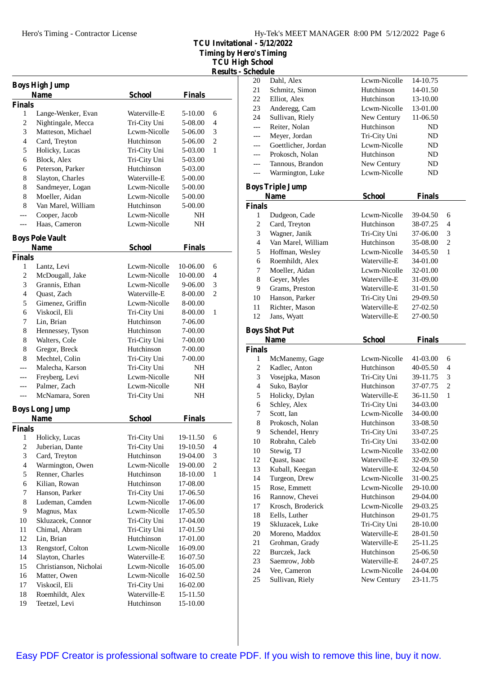**TCU Invitational - 5/12/2022 Timing by Hero's Timing**

**TCU High School**

**Results - Schedule**

| <b>Finals</b>             |                                                                                                                                                              |
|---------------------------|--------------------------------------------------------------------------------------------------------------------------------------------------------------|
|                           |                                                                                                                                                              |
| 5-10.00<br>6              |                                                                                                                                                              |
| 4<br>5-08.00              |                                                                                                                                                              |
| 5-06.00                   |                                                                                                                                                              |
| $\overline{c}$<br>5-06.00 |                                                                                                                                                              |
| 1<br>5-03.00              |                                                                                                                                                              |
| 5-03.00                   |                                                                                                                                                              |
| 5-03.00                   |                                                                                                                                                              |
| 5-00.00                   |                                                                                                                                                              |
| 5-00.00                   |                                                                                                                                                              |
|                           |                                                                                                                                                              |
|                           |                                                                                                                                                              |
| NH                        |                                                                                                                                                              |
|                           |                                                                                                                                                              |
|                           |                                                                                                                                                              |
| <b>Finals</b>             |                                                                                                                                                              |
|                           |                                                                                                                                                              |
| 10-06.00<br>6             |                                                                                                                                                              |
| 10-00.00<br>4             |                                                                                                                                                              |
| 3<br>9-06.00              |                                                                                                                                                              |
| $\overline{c}$<br>8-00.00 |                                                                                                                                                              |
| 8-00.00                   |                                                                                                                                                              |
| 1<br>8-00.00              |                                                                                                                                                              |
| 7-06.00                   |                                                                                                                                                              |
| 7-00.00                   |                                                                                                                                                              |
| 7-00.00                   |                                                                                                                                                              |
| 7-00.00                   |                                                                                                                                                              |
| 7-00.00                   |                                                                                                                                                              |
| NH                        |                                                                                                                                                              |
| NΗ                        |                                                                                                                                                              |
| NΗ                        |                                                                                                                                                              |
| NH                        |                                                                                                                                                              |
|                           |                                                                                                                                                              |
|                           |                                                                                                                                                              |
|                           |                                                                                                                                                              |
|                           |                                                                                                                                                              |
| 4                         |                                                                                                                                                              |
|                           |                                                                                                                                                              |
|                           |                                                                                                                                                              |
| 1                         |                                                                                                                                                              |
| 17-08.00                  |                                                                                                                                                              |
| 17-06.50                  |                                                                                                                                                              |
|                           |                                                                                                                                                              |
|                           |                                                                                                                                                              |
| 17-04.00                  |                                                                                                                                                              |
| 17-01.50                  |                                                                                                                                                              |
| 17-01.00                  |                                                                                                                                                              |
| 16-09.00                  |                                                                                                                                                              |
| 16-07.50                  |                                                                                                                                                              |
| 16-05.00                  |                                                                                                                                                              |
| 16-02.50                  |                                                                                                                                                              |
| 16-02.00                  |                                                                                                                                                              |
| 15-11.50                  |                                                                                                                                                              |
| 15-10.00                  |                                                                                                                                                              |
|                           | 3<br>5-00.00<br>5-00.00<br>NH<br><b>Finals</b><br>19-11.50<br>6<br>19-10.50<br>3<br>19-04.00<br>$\mathbf{2}$<br>19-00.00<br>18-10.00<br>17-06.00<br>17-05.50 |

| scheume                  |                                        |                             |                      |                |
|--------------------------|----------------------------------------|-----------------------------|----------------------|----------------|
| 20                       | Dahl, Alex                             | Lcwm-Nicolle                | 14-10.75             |                |
| 21                       | Schmitz, Simon                         | Hutchinson                  | 14-01.50             |                |
| 22                       | Elliot, Alex                           | Hutchinson                  | 13-10.00             |                |
| 23                       | Anderegg, Cam                          | Lcwm-Nicolle                | 13-01.00             |                |
| 24                       | Sullivan, Riely                        | New Century                 | 11-06.50             |                |
| $---$                    | Reiter, Nolan                          | Hutchinson                  | ND                   |                |
| ---                      | Meyer, Jordan                          | Tri-City Uni                | ND                   |                |
| ---                      | Goettlicher, Jordan                    | Lcwm-Nicolle                | ND                   |                |
| ---                      | Prokosch, Nolan                        | Hutchinson                  | ND                   |                |
| ---                      | Tannous, Brandon                       | New Century                 | ND                   |                |
| $---$                    | Warmington, Luke                       | Lcwm-Nicolle                | ND                   |                |
|                          | <b>Boys Triple Jump</b><br><b>Name</b> | <b>School</b>               | <b>Finals</b>        |                |
| <b>Finals</b>            |                                        |                             |                      |                |
| 1                        | Dudgeon, Cade                          | Lcwm-Nicolle                | 39-04.50             | 6              |
| 2                        | Card, Treyton                          | Hutchinson                  | 38-07.25             | 4              |
| 3                        | Wagner, Janik                          | Tri-City Uni                | 37-06.00             | 3              |
| $\overline{\mathcal{L}}$ | Van Marel, William                     | Hutchinson                  | 35-08.00             | 2              |
| 5                        | Hoffman, Wesley                        | Lcwm-Nicolle                | 34-05.50             | 1              |
| 6                        | Roemhildt, Alex                        | Waterville-E                | 34-01.00             |                |
| 7                        | Moeller, Aidan                         | Lcwm-Nicolle                | 32-01.00             |                |
| 8                        | Geyer, Myles                           | Waterville-E                | 31-09.00             |                |
| 9                        | Grams, Preston                         | Waterville-E                |                      |                |
| 10                       |                                        |                             | 31-01.50             |                |
|                          | Hanson, Parker                         | Tri-City Uni                | 29-09.50             |                |
| 11                       | Richter, Mason                         | Waterville-E                | 27-02.50             |                |
| 12                       | Jans, Wyatt                            | Waterville-E                | 27-00.50             |                |
|                          | <b>Boys Shot Put</b>                   |                             |                      |                |
|                          |                                        |                             |                      |                |
|                          | <b>Name</b>                            | <b>School</b>               | <b>Finals</b>        |                |
| <b>Finals</b>            |                                        |                             |                      |                |
| 1                        | McManemy, Gage                         | Lcwm-Nicolle                | 41-03.00             | 6              |
| 2                        | Kadlec, Anton                          | Hutchinson                  | 40-05.50             | 4              |
| 3                        | Vosejpka, Mason                        | Tri-City Uni                | 39-11.75             | 3              |
| $\overline{4}$           | Suko, Baylor                           | Hutchinson                  | 37-07.75             | $\overline{c}$ |
| 5                        | Holicky, Dylan                         | Waterville-E                | 36-11.50             | 1              |
| 6                        | Schley, Alex                           | Tri-City Uni                | 34-03.00             |                |
| 7                        | Scott, Ian                             | Lcwm-Nicolle                | 34-00.00             |                |
| 8                        | Prokosch, Nolan                        | Hutchinson                  | 33-08.50             |                |
| 9                        | Schendel, Henry                        | Tri-City Uni                | 33-07.25             |                |
| 10                       | Robrahn, Caleb                         | Tri-City Uni                | 33-02.00             |                |
| 10                       | Stewig, TJ                             | Lcwm-Nicolle                | 33-02.00             |                |
| 12                       |                                        | Waterville-E                | 32-09.50             |                |
| 13                       | Quast, Isaac<br>Kuball, Keegan         | Waterville-E                | 32-04.50             |                |
|                          |                                        | Lcwm-Nicolle                | 31-00.25             |                |
| 14                       | Turgeon, Drew                          | Lcwm-Nicolle                | 29-10.00             |                |
| 15                       | Rose, Emmett                           |                             |                      |                |
| 16<br>17                 | Rannow, Chevei                         | Hutchinson<br>Lcwm-Nicolle  | 29-04.00<br>29-03.25 |                |
| 18                       | Krosch, Broderick                      | Hutchinson                  | 29-01.75             |                |
|                          | Eells, Luther                          |                             | 28-10.00             |                |
| 19                       | Skluzacek, Luke                        | Tri-City Uni                |                      |                |
| 20                       | Moreno, Maddox                         | Waterville-E                | 28-01.50             |                |
| 21                       | Grohman, Grady                         | Waterville-E                | 25-11.25             |                |
| $22\,$                   | Burczek, Jack                          | Hutchinson                  | 25-06.50             |                |
| 23                       | Saemrow, Jobb                          | Waterville-E                | 24-07.25             |                |
| 24<br>25                 | Vee, Cameron<br>Sullivan, Riely        | Lcwm-Nicolle<br>New Century | 24-04.00<br>23-11.75 |                |